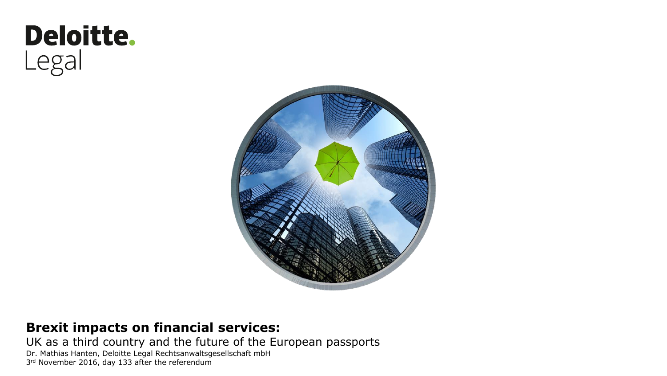# Deloitte. Legal



#### **Brexit impacts on financial services:**

UK as a third country and the future of the European passports

Dr. Mathias Hanten, Deloitte Legal Rechtsanwaltsgesellschaft mbH 3<sup>rd</sup> November 2016, day 133 after the referendum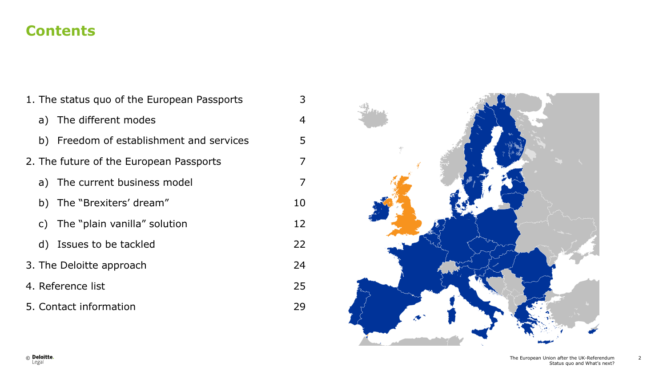#### **Contents**

| 1. The status quo of the European Passports |                                          | 3              |
|---------------------------------------------|------------------------------------------|----------------|
|                                             | a) The different modes                   | $\overline{4}$ |
|                                             | b) Freedom of establishment and services | 5              |
|                                             | 2. The future of the European Passports  | 7              |
|                                             | a) The current business model            | 7              |
|                                             | b) The "Brexiters' dream"                | 10             |
|                                             | c) The "plain vanilla" solution          | 12             |
|                                             | d) Issues to be tackled                  | 22             |
| 3. The Deloitte approach                    |                                          | 24             |
| 4. Reference list                           |                                          |                |
| 5. Contact information                      |                                          |                |

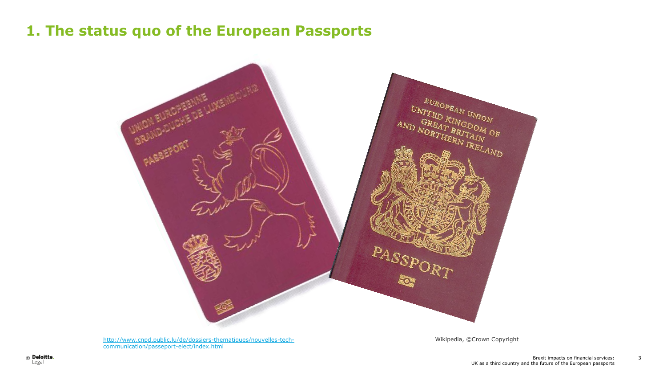

[http://www.cnpd.public.lu/de/dossiers-thematiques/nouvelles-tech](http://www.cnpd.public.lu/de/dossiers-thematiques/nouvelles-tech-communication/passeport-elect/index.html)[communication/passeport-elect/index.html](http://www.cnpd.public.lu/de/dossiers-thematiques/nouvelles-tech-communication/passeport-elect/index.html)

Wikipedia, ©Crown Copyright

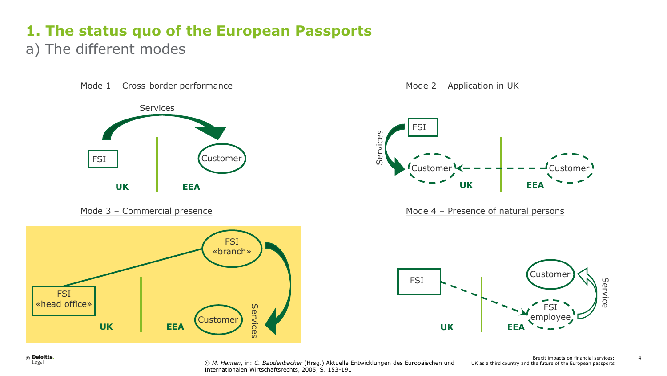a) The different modes





Mode 2 – Application in UK



Mode 3 – Commercial presence Mode 4 – Presence of natural persons



© *M. Hanten*, in: *C. Baudenbacher* (Hrsg.) Aktuelle Entwicklungen des Europäischen und Internationalen Wirtschaftsrechts, 2005, S. 153-191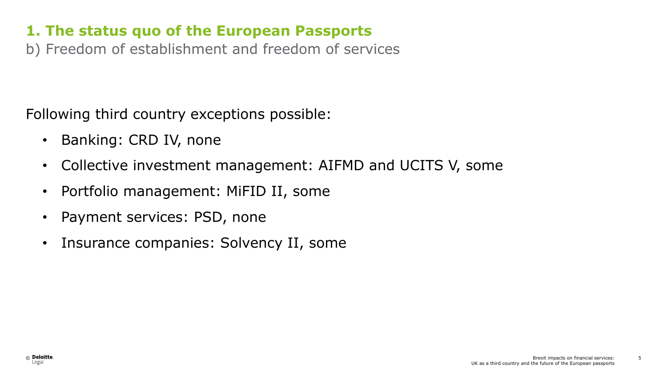b) Freedom of establishment and freedom of services

Following third country exceptions possible:

- Banking: CRD IV, none
- Collective investment management: AIFMD and UCITS V, some
- Portfolio management: MiFID II, some
- Payment services: PSD, none
- Insurance companies: Solvency II, some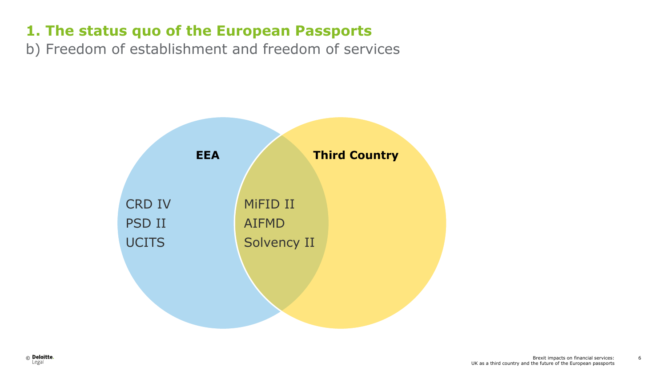b) Freedom of establishment and freedom of services

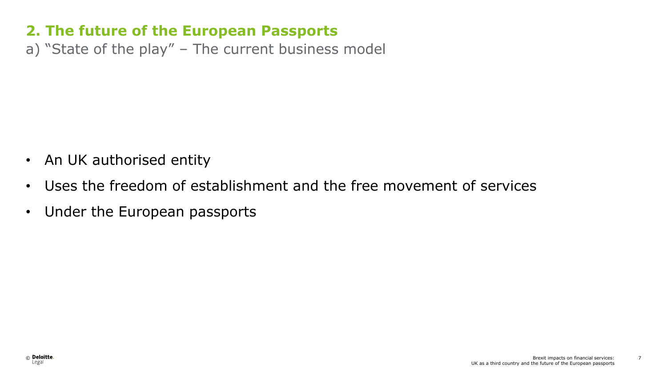a) "State of the play" – The current business model

- An UK authorised entity
- Uses the freedom of establishment and the free movement of services
- Under the European passports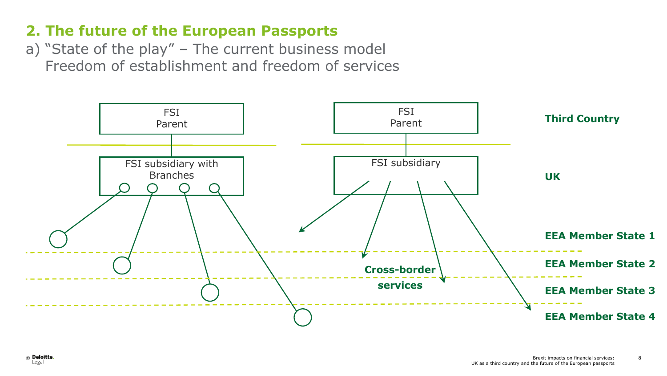a) "State of the play" – The current business model Freedom of establishment and freedom of services

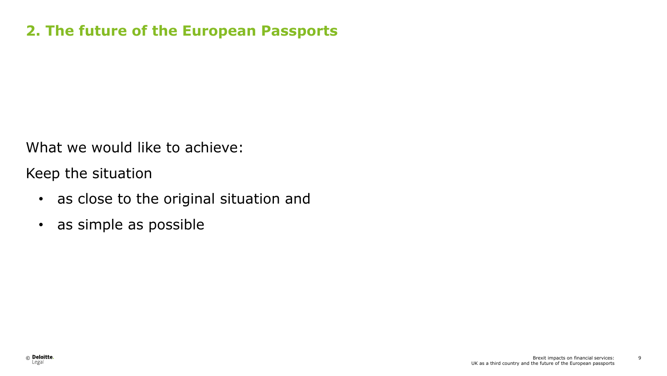What we would like to achieve:

Keep the situation

- as close to the original situation and
- as simple as possible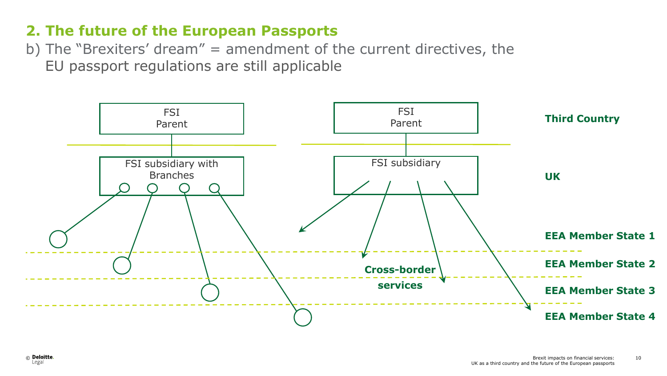b) The "Brexiters' dream" = amendment of the current directives, the EU passport regulations are still applicable

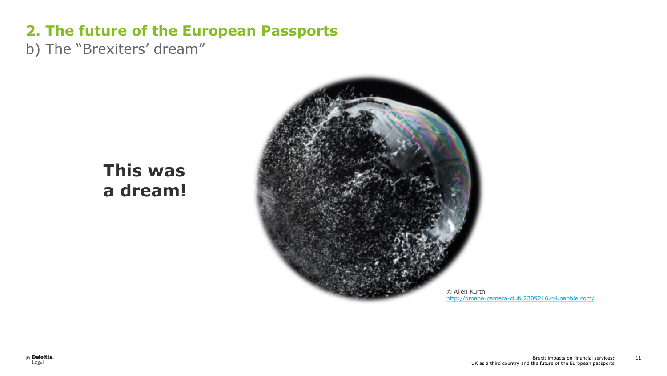b) The "Brexiters' dream"

## **This was a dream!**



<http://omaha-camera-club.2309216.n4.nabble.com/>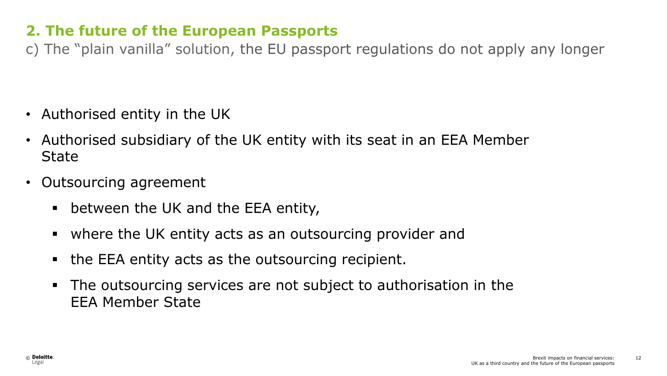c) The "plain vanilla" solution, the EU passport regulations do not apply any longer

- Authorised entity in the UK
- Authorised subsidiary of the UK entity with its seat in an EEA Member **State**
- Outsourcing agreement
	- between the UK and the EEA entity,
	- where the UK entity acts as an outsourcing provider and
	- the EEA entity acts as the outsourcing recipient.
	- The outsourcing services are not subject to authorisation in the EEA Member State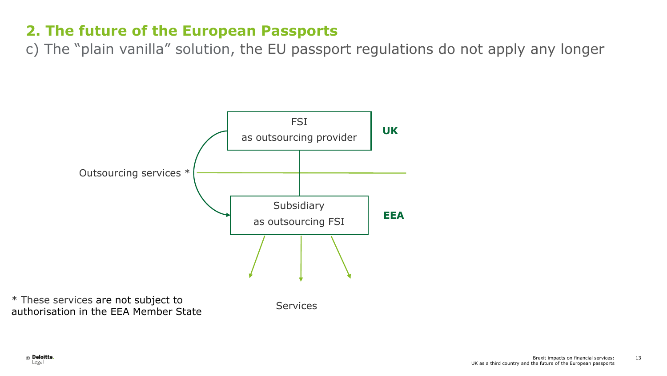c) The "plain vanilla" solution, the EU passport regulations do not apply any longer



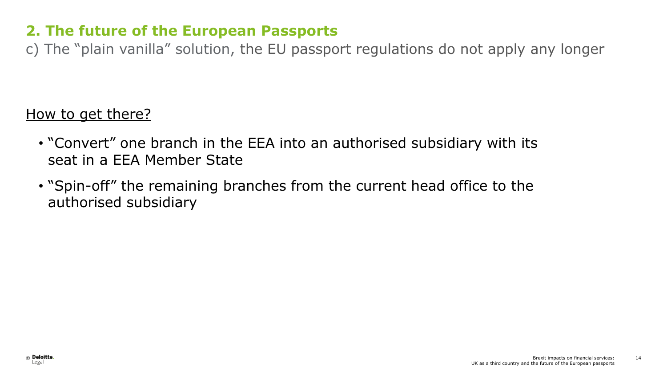c) The "plain vanilla" solution, the EU passport regulations do not apply any longer

#### How to get there?

- "Convert" one branch in the EEA into an authorised subsidiary with its seat in a EEA Member State
- "Spin-off" the remaining branches from the current head office to the authorised subsidiary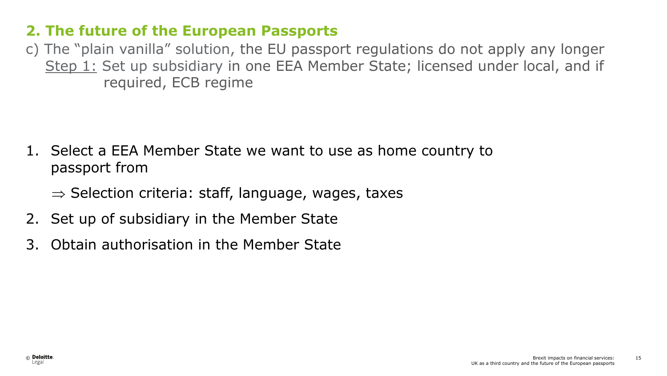c) The "plain vanilla" solution, the EU passport regulations do not apply any longer Step 1: Set up subsidiary in one EEA Member State; licensed under local, and if required, ECB regime

- 1. Select a EEA Member State we want to use as home country to passport from
	- $\Rightarrow$  Selection criteria: staff, language, wages, taxes
- 2. Set up of subsidiary in the Member State
- 3. Obtain authorisation in the Member State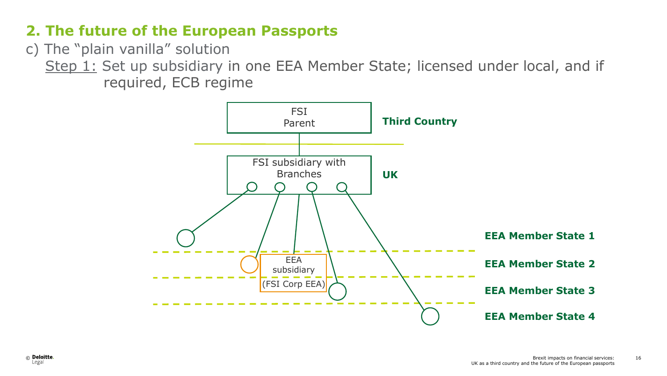c) The "plain vanilla" solution

Step 1: Set up subsidiary in one EEA Member State; licensed under local, and if required, ECB regime

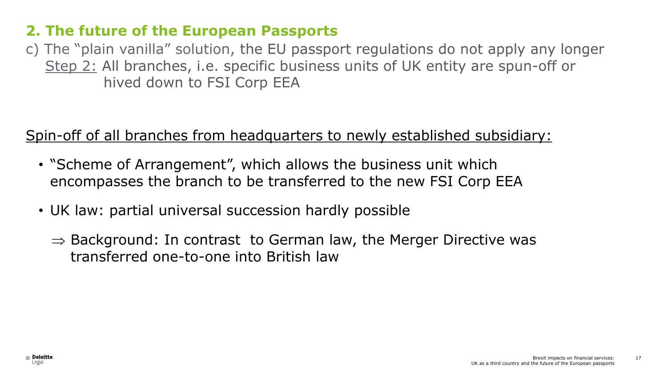c) The "plain vanilla" solution, the EU passport regulations do not apply any longer Step 2: All branches, i.e. specific business units of UK entity are spun-off or hived down to FSI Corp EEA

#### Spin-off of all branches from headquarters to newly established subsidiary:

- "Scheme of Arrangement", which allows the business unit which encompasses the branch to be transferred to the new FSI Corp EEA
- UK law: partial universal succession hardly possible
	- $\Rightarrow$  Background: In contrast to German law, the Merger Directive was transferred one-to-one into British law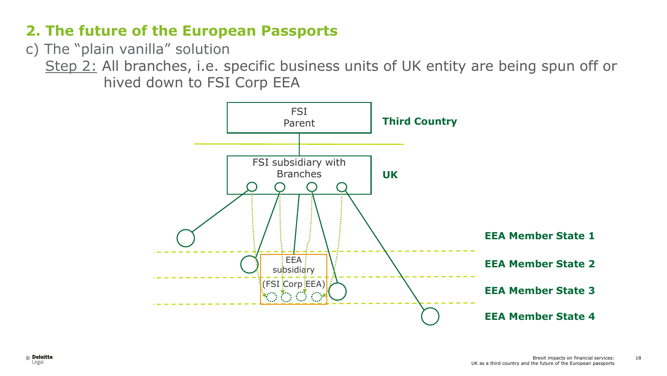c) The "plain vanilla" solution

Step 2: All branches, i.e. specific business units of UK entity are being spun off or hived down to FSI Corp EEA

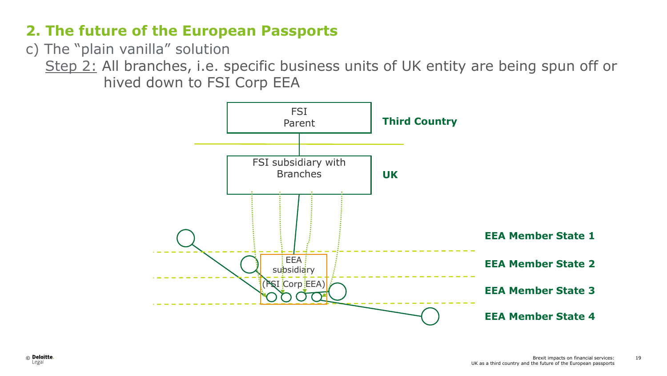c) The "plain vanilla" solution

Step 2: All branches, i.e. specific business units of UK entity are being spun off or hived down to FSI Corp EEA

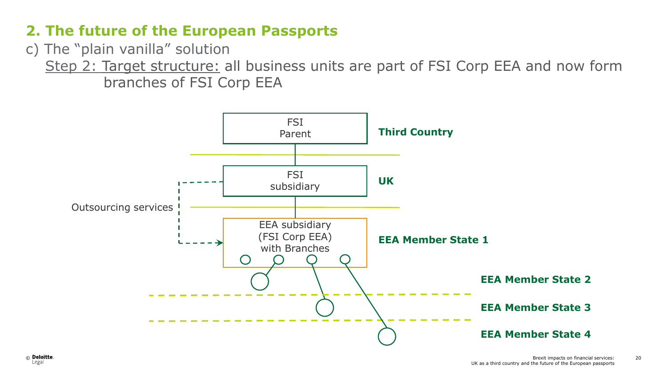c) The "plain vanilla" solution

 Step 2: Target structure: all business units are part of FSI Corp EEA and now form branches of FSI Corp EEA

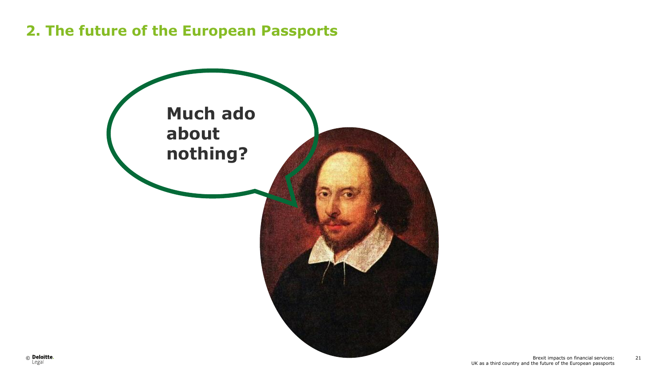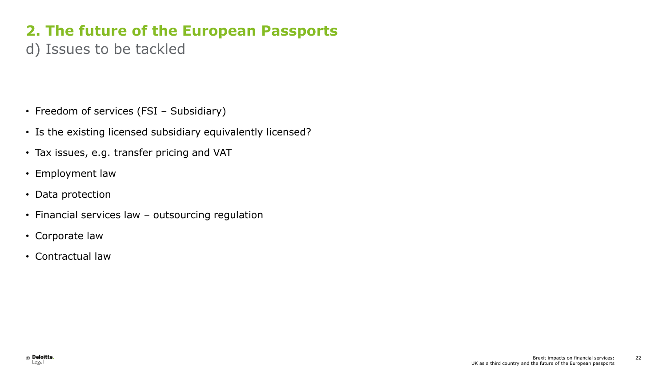d) Issues to be tackled

- Freedom of services (FSI Subsidiary)
- Is the existing licensed subsidiary equivalently licensed?
- Tax issues, e.g. transfer pricing and VAT
- Employment law
- Data protection
- Financial services law outsourcing regulation
- Corporate law
- Contractual law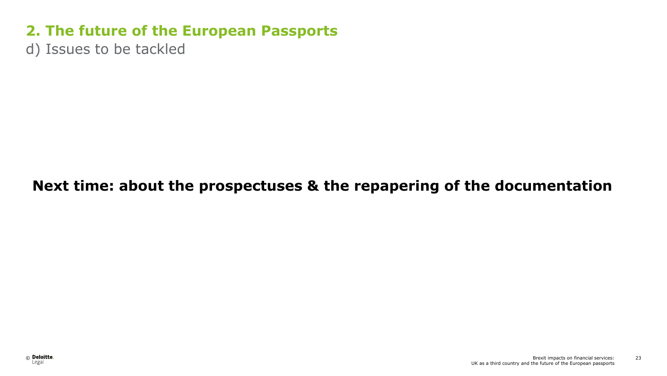d) Issues to be tackled

#### **Next time: about the prospectuses & the repapering of the documentation**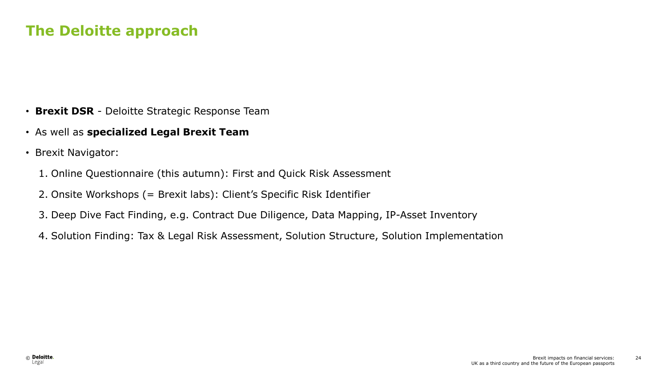#### **The Deloitte approach**

- **Brexit DSR** Deloitte Strategic Response Team
- As well as **specialized Legal Brexit Team**
- Brexit Navigator:
	- 1. Online Questionnaire (this autumn): First and Quick Risk Assessment
	- 2. Onsite Workshops (= Brexit labs): Client's Specific Risk Identifier
	- 3. Deep Dive Fact Finding, e.g. Contract Due Diligence, Data Mapping, IP-Asset Inventory
	- 4. Solution Finding: Tax & Legal Risk Assessment, Solution Structure, Solution Implementation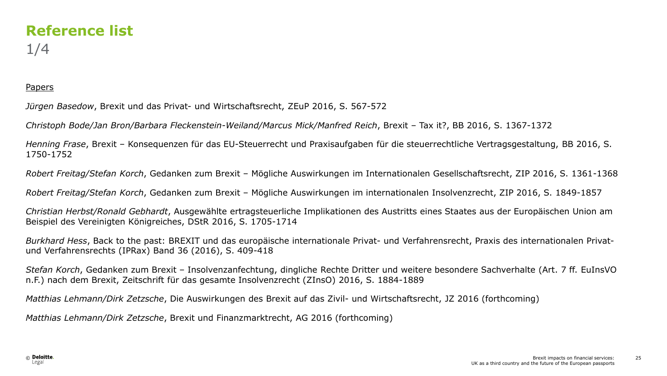### **Reference list** 1/4

#### Papers

*Jürgen Basedow*, Brexit und das Privat- und Wirtschaftsrecht, ZEuP 2016, S. 567-572

*Christoph Bode/Jan Bron/Barbara Fleckenstein-Weiland/Marcus Mick/Manfred Reich*, Brexit – Tax it?, BB 2016, S. 1367-1372

*Henning Frase*, Brexit – Konsequenzen für das EU-Steuerrecht und Praxisaufgaben für die steuerrechtliche Vertragsgestaltung, BB 2016, S. 1750-1752

*Robert Freitag/Stefan Korch*, Gedanken zum Brexit – Mögliche Auswirkungen im Internationalen Gesellschaftsrecht, ZIP 2016, S. 1361-1368

*Robert Freitag/Stefan Korch*, Gedanken zum Brexit – Mögliche Auswirkungen im internationalen Insolvenzrecht, ZIP 2016, S. 1849-1857

*Christian Herbst/Ronald Gebhardt*, Ausgewählte ertragsteuerliche Implikationen des Austritts eines Staates aus der Europäischen Union am Beispiel des Vereinigten Königreiches, DStR 2016, S. 1705-1714

*Burkhard Hess*, Back to the past: BREXIT und das europäische internationale Privat- und Verfahrensrecht, Praxis des internationalen Privatund Verfahrensrechts (IPRax) Band 36 (2016), S. 409-418

*Stefan Korch*, Gedanken zum Brexit – Insolvenzanfechtung, dingliche Rechte Dritter und weitere besondere Sachverhalte (Art. 7 ff. EuInsVO n.F.) nach dem Brexit, Zeitschrift für das gesamte Insolvenzrecht (ZInsO) 2016, S. 1884-1889

*Matthias Lehmann/Dirk Zetzsche*, Die Auswirkungen des Brexit auf das Zivil- und Wirtschaftsrecht, JZ 2016 (forthcoming)

*Matthias Lehmann/Dirk Zetzsche*, Brexit und Finanzmarktrecht, AG 2016 (forthcoming)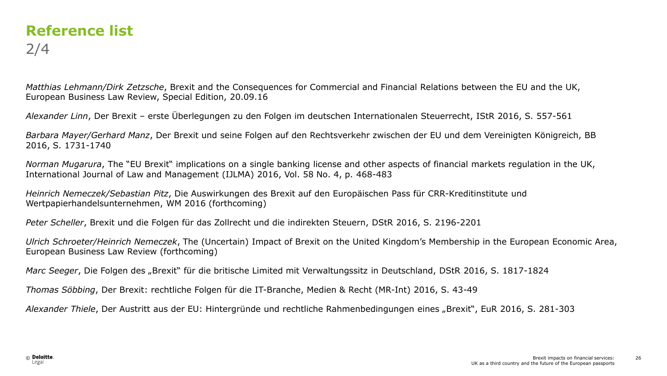### **Reference list** 2/4

*Matthias Lehmann/Dirk Zetzsche*, Brexit and the Consequences for Commercial and Financial Relations between the EU and the UK, European Business Law Review, Special Edition, 20.09.16

*Alexander Linn*, Der Brexit – erste Überlegungen zu den Folgen im deutschen Internationalen Steuerrecht, IStR 2016, S. 557-561

*Barbara Mayer/Gerhard Manz*, Der Brexit und seine Folgen auf den Rechtsverkehr zwischen der EU und dem Vereinigten Königreich, BB 2016, S. 1731-1740

*Norman Mugarura*, The "EU Brexit" implications on a single banking license and other aspects of financial markets regulation in the UK, International Journal of Law and Management (IJLMA) 2016, Vol. 58 No. 4, p. 468-483

*Heinrich Nemeczek/Sebastian Pitz*, Die Auswirkungen des Brexit auf den Europäischen Pass für CRR-Kreditinstitute und Wertpapierhandelsunternehmen, WM 2016 (forthcoming)

*Peter Scheller*, Brexit und die Folgen für das Zollrecht und die indirekten Steuern, DStR 2016, S. 2196-2201

*Ulrich Schroeter/Heinrich Nemeczek*, The (Uncertain) Impact of Brexit on the United Kingdom's Membership in the European Economic Area, European Business Law Review (forthcoming)

*Marc Seeger*, Die Folgen des "Brexit" für die britische Limited mit Verwaltungssitz in Deutschland, DStR 2016, S. 1817-1824

*Thomas Söbbing*, Der Brexit: rechtliche Folgen für die IT-Branche, Medien & Recht (MR-Int) 2016, S. 43-49

*Alexander Thiele*, Der Austritt aus der EU: Hintergründe und rechtliche Rahmenbedingungen eines "Brexit", EuR 2016, S. 281-303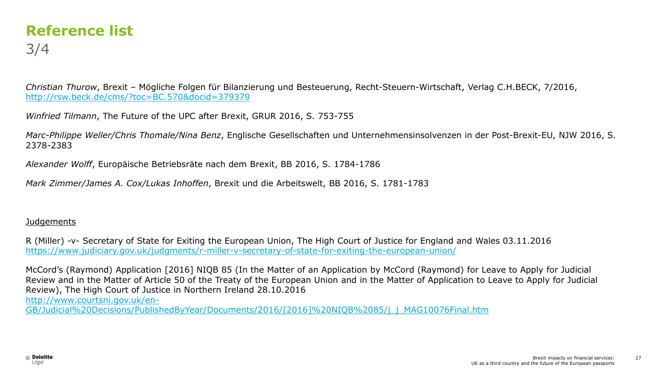#### **Reference list** 3/4

*Christian Thurow*, Brexit – Mögliche Folgen für Bilanzierung und Besteuerung, Recht-Steuern-Wirtschaft, Verlag C.H.BECK, 7/2016, <http://rsw.beck.de/cms/?toc=BC.570&docid=379379>

*Winfried Tilmann*, The Future of the UPC after Brexit, GRUR 2016, S. 753-755

*Marc-Philippe Weller/Chris Thomale/Nina Benz*, Englische Gesellschaften und Unternehmensinsolvenzen in der Post-Brexit-EU, NJW 2016, S. 2378-2383

*Alexander Wolff*, Europäische Betriebsräte nach dem Brexit, BB 2016, S. 1784-1786

*Mark Zimmer/James A. Cox/Lukas Inhoffen*, Brexit und die Arbeitswelt, BB 2016, S. 1781-1783

#### Judgements

R (Miller) -v- Secretary of State for Exiting the European Union, The High Court of Justice for England and Wales 03.11.2016 <https://www.judiciary.gov.uk/judgments/r-miller-v-secretary-of-state-for-exiting-the-european-union/>

McCord's (Raymond) Application [2016] NIQB 85 (In the Matter of an Application by McCord (Raymond) for Leave to Apply for Judicial Review and in the Matter of Article 50 of the Treaty of the European Union and in the Matter of Application to Leave to Apply for Judicial Review), The High Court of Justice in Northern Ireland 28.10.2016 [http://www.courtsni.gov.uk/en-](http://www.courtsni.gov.uk/en-GB/Judicial Decisions/PublishedByYear/Documents/2016/[2016] NIQB 85/j_j_MAG10076Final.htm)

[GB/Judicial%20Decisions/PublishedByYear/Documents/2016/\[2016\]%20NIQB%2085/j\\_j\\_MAG10076Final.htm](http://www.courtsni.gov.uk/en-GB/Judicial Decisions/PublishedByYear/Documents/2016/[2016] NIQB 85/j_j_MAG10076Final.htm)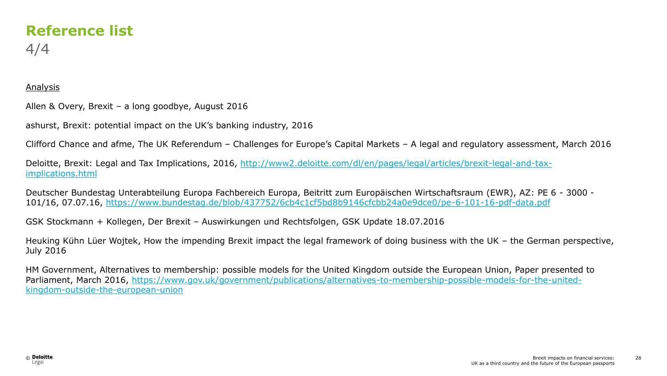#### **Reference list** 4/4

#### Analysis

Allen & Overy, Brexit – a long goodbye, August 2016

ashurst, Brexit: potential impact on the UK's banking industry, 2016

Clifford Chance and afme, The UK Referendum – Challenges for Europe's Capital Markets – A legal and regulatory assessment, March 2016

Deloitte, Brexit: Legal and Tax Implications, 2016, [http://www2.deloitte.com/dl/en/pages/legal/articles/brexit-legal-and-tax](http://www2.deloitte.com/dl/en/pages/legal/articles/brexit-legal-and-tax-implications.html)[implications.html](http://www2.deloitte.com/dl/en/pages/legal/articles/brexit-legal-and-tax-implications.html)

Deutscher Bundestag Unterabteilung Europa Fachbereich Europa, Beitritt zum Europäischen Wirtschaftsraum (EWR), AZ: PE 6 - 3000 - 101/16, 07.07.16,<https://www.bundestag.de/blob/437752/6cb4c1cf5bd8b9146cfcbb24a0e9dce0/pe-6-101-16-pdf-data.pdf>

GSK Stockmann + Kollegen, Der Brexit – Auswirkungen und Rechtsfolgen, GSK Update 18.07.2016

Heuking Kühn Lüer Wojtek, How the impending Brexit impact the legal framework of doing business with the UK – the German perspective, July 2016

HM Government, Alternatives to membership: possible models for the United Kingdom outside the European Union, Paper presented to Parliament, March 2016, [https://www.gov.uk/government/publications/alternatives-to-membership-possible-models-for-the-united](https://www.gov.uk/government/publications/alternatives-to-membership-possible-models-for-the-united-kingdom-outside-the-european-union)[kingdom-outside-the-european-union](https://www.gov.uk/government/publications/alternatives-to-membership-possible-models-for-the-united-kingdom-outside-the-european-union)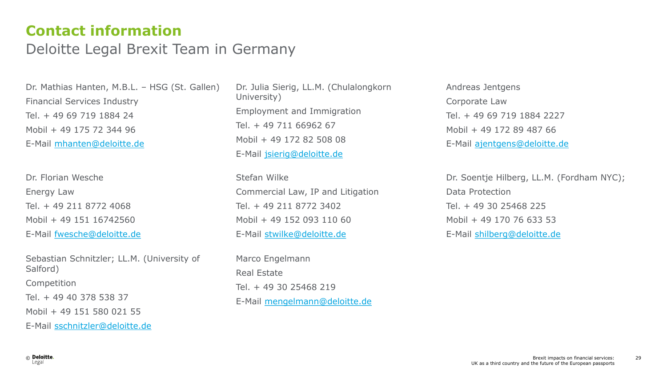#### **Contact information**

#### Deloitte Legal Brexit Team in Germany

Dr. Mathias Hanten, M.B.L. – HSG (St. Gallen) Financial Services Industry Tel. + 49 69 719 1884 24 Mobil + 49 175 72 344 96 E-Mail [mhanten@deloitte.de](mailto:mhanten@deloitte.de)

Dr. Florian Wesche Energy Law Tel. + 49 211 8772 4068 Mobil + 49 151 16742560 E-Mail [fwesche@deloitte.de](mailto:fwesche@deloitte.de)

Sebastian Schnitzler; LL.M. (University of Salford) Competition Tel. + 49 40 378 538 37 Mobil + 49 151 580 021 55 E-Mail [sschnitzler@deloitte.de](mailto:sschnitzler@deloitte.de)

Dr. Julia Sierig, LL.M. (Chulalongkorn University) Employment and Immigration Tel. + 49 711 66962 67 Mobil + 49 172 82 508 08 E-Mail [jsierig@deloitte.de](mailto:jsierig@deloitte.de)

Stefan Wilke Commercial Law, IP and Litigation Tel. + 49 211 8772 3402 Mobil + 49 152 093 110 60 E-Mail [stwilke@deloitte.de](mailto:stwilke@deloitte.de)

Marco Engelmann Real Estate Tel. + 49 30 25468 219 E-Mail [mengelmann@deloitte.de](mailto:mengelmann@deloitte.de) Andreas Jentgens Corporate Law Tel. + 49 69 719 1884 2227 Mobil + 49 172 89 487 66 E-Mail [ajentgens@deloitte.de](mailto:ajentgens@deloitte.de) 

Dr. Soentje Hilberg, LL.M. (Fordham NYC); Data Protection Tel. + 49 30 25468 225 Mobil + 49 170 76 633 53 E-Mail [shilberg@deloitte.de](mailto:shilberg@deloitte.de)